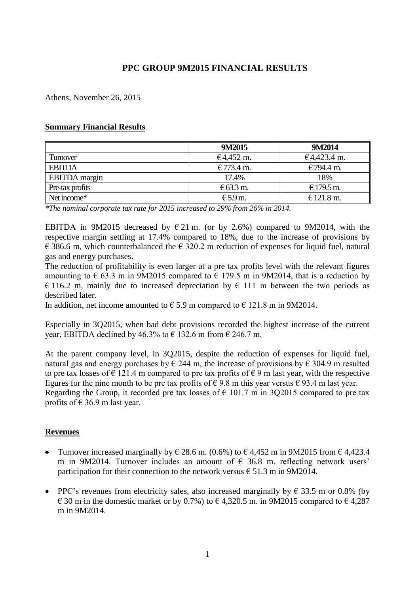# **PPC GROUP 9M2015 FINANCIAL RESULTS**

Athens, November 26, 2015

#### **Summary Financial Results**

|                          | 9M2015             | 9M2014      |
|--------------------------|--------------------|-------------|
| Turnover                 | €4,452 m.          | €4,423.4 m. |
| <b>EBITDA</b>            | €773.4 m.          | €794.4 m.   |
| <b>EBITDA</b> margin     | 17.4%              | 18%         |
| $\Gamma$ Pre-tax profits | $\epsilon$ 63.3 m. | € 179.5 m.  |
| Net income*              | $E$ 5.9 m.         | € 121.8 m.  |

*\*The nominal corporate tax rate for 2015 increased to 29% from 26% in 2014.* 

ΕΒΙΤDΑ in 9M2015 decreased by € 21 m. (or by 2.6%) compared to 9M2014, with the respective margin settling at 17.4% compared to 18%, due to the increase of provisions by  $\epsilon$  386.6 m, which counterbalanced the  $\epsilon$  320.2 m reduction of expenses for liquid fuel, natural gas and energy purchases.

The reduction of profitability is even larger at a pre tax profits level with the relevant figures amounting to  $\epsilon$  63.3 m in 9M2015 compared to  $\epsilon$  179.5 m in 9M2014, that is a reduction by € 116.2 m, mainly due to increased depreciation by  $\epsilon$  111 m between the two periods as described later.

In addition, net income amounted to  $\epsilon$  5.9 m compared to  $\epsilon$  121.8 m in 9M2014.

Especially in 3Q2015, when bad debt provisions recorded the highest increase of the current year, EBITDA declined by 46.3% to  $\epsilon$  132.6 m from  $\epsilon$  246.7 m.

At the parent company level, in 3Q2015, despite the reduction of expenses for liquid fuel, natural gas and energy purchases by  $\epsilon$  244 m, the increase of provisions by  $\epsilon$  304.9 m resulted to pre tax losses of  $\epsilon$  121.4 m compared to pre tax profits of  $\epsilon$  9 m last year, with the respective figures for the nine month to be pre tax profits of  $\epsilon$  9.8 m this year versus  $\epsilon$  93.4 m last year. Regarding the Group, it recorded pre tax losses of  $\epsilon$  101.7 m in 3Q2015 compared to pre tax profits of  $\epsilon$  36.9 m last year.

#### **Revenues**

- Turnover increased marginally by  $\epsilon$  28.6 m. (0.6%) to  $\epsilon$  4,452 m in 9M2015 from  $\epsilon$  4,423.4 m in 9M2014. Turnover includes an amount of  $\epsilon$  36.8 m. reflecting network users' participation for their connection to the network versus  $\epsilon$  51.3 m in 9M2014.
- PPC's revenues from electricity sales, also increased marginally by  $\epsilon$  33.5 m or 0.8% (by  $\epsilon$  30 m in the domestic market or by 0.7%) to  $\epsilon$  4,320.5 m. in 9M2015 compared to  $\epsilon$  4,287 m in 9M2014.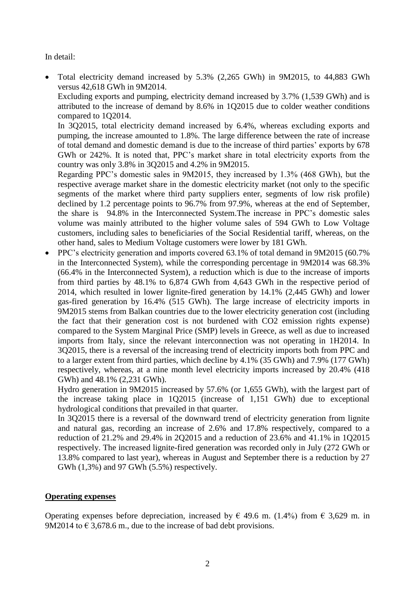In detail:

 Total electricity demand increased by 5.3% (2,265 GWh) in 9M2015, to 44,883 GWh versus 42,618 GWh in 9M2014.

Excluding exports and pumping, electricity demand increased by 3.7% (1,539 GWh) and is attributed to the increase of demand by 8.6% in 1Q2015 due to colder weather conditions compared to 1Q2014.

In 3Q2015, total electricity demand increased by 6.4%, whereas excluding exports and pumping, the increase amounted to 1.8%. The large difference between the rate of increase of total demand and domestic demand is due to the increase of third parties' exports by 678 GWh or 242%. It is noted that, PPC's market share in total electricity exports from the country was only 3.8% in 3Q2015 and 4.2% in 9M2015.

Regarding PPC's domestic sales in 9M2015, they increased by 1.3% (468 GWh), but the respective average market share in the domestic electricity market (not only to the specific segments of the market where third party suppliers enter, segments of low risk profile) declined by 1.2 percentage points to 96.7% from 97.9%, whereas at the end of September, the share is 94.8% in the Interconnected System.The increase in PPC's domestic sales volume was mainly attributed to the higher volume sales of 594 GWh to Low Voltage customers, including sales to beneficiaries of the Social Residential tariff, whereas, on the other hand, sales to Medium Voltage customers were lower by 181 GWh.

 PPC's electricity generation and imports covered 63.1% of total demand in 9M2015 (60.7% in the Interconnected System), while the corresponding percentage in 9M2014 was 68.3% (66.4% in the Interconnected System), a reduction which is due to the increase of imports from third parties by 48.1% to 6,874 GWh from 4,643 GWh in the respective period of 2014, which resulted in lower lignite-fired generation by 14.1% (2,445 GWh) and lower gas-fired generation by 16.4% (515 GWh). The large increase of electricity imports in 9M2015 stems from Balkan countries due to the lower electricity generation cost (including the fact that their generation cost is not burdened with CO2 emission rights expense) compared to the System Marginal Price (SMP) levels in Greece, as well as due to increased imports from Italy, since the relevant interconnection was not operating in 1H2014. In 3Q2015, there is a reversal of the increasing trend of electricity imports both from PPC and to a larger extent from third parties, which decline by 4.1% (35 GWh) and 7.9% (177 GWh) respectively, whereas, at a nine month level electricity imports increased by 20.4% (418 GWh) and 48.1% (2,231 GWh).

Hydro generation in 9M2015 increased by 57.6% (or 1,655 GWh), with the largest part of the increase taking place in 1Q2015 (increase of 1,151 GWh) due to exceptional hydrological conditions that prevailed in that quarter.

In 3Q2015 there is a reversal of the downward trend of electricity generation from lignite and natural gas, recording an increase of 2.6% and 17.8% respectively, compared to a reduction of 21.2% and 29.4% in 2Q2015 and a reduction of 23.6% and 41.1% in 1Q2015 respectively. The increased lignite-fired generation was recorded only in July (272 GWh or 13.8% compared to last year), whereas in August and September there is a reduction by 27 GWh (1,3%) and 97 GWh (5.5%) respectively.

#### **Operating expenses**

Operating expenses before depreciation, increased by  $\in$  49.6 m. (1.4%) from  $\in$  3,629 m. in 9M2014 to  $\epsilon$  3,678.6 m., due to the increase of bad debt provisions.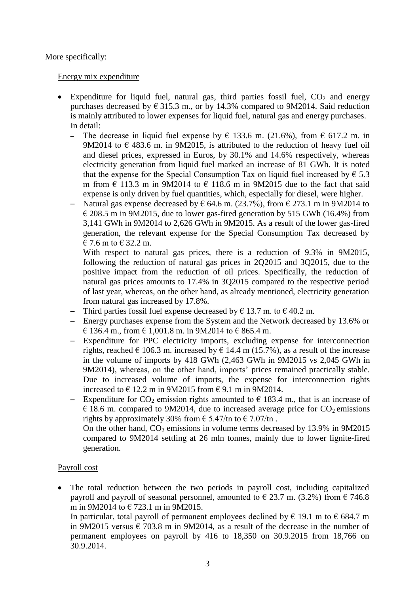More specifically:

#### Energy mix expenditure

- Expenditure for liquid fuel, natural gas, third parties fossil fuel,  $CO<sub>2</sub>$  and energy purchases decreased by  $\epsilon$  315.3 m., or by 14.3% compared to 9M2014. Said reduction is mainly attributed to lower expenses for liquid fuel, natural gas and energy purchases. In detail:
	- The decrease in liquid fuel expense by  $\epsilon$  133.6 m. (21.6%), from  $\epsilon$  617.2 m. in 9M2014 to  $\epsilon$  483.6 m. in 9M2015, is attributed to the reduction of heavy fuel oil and diesel prices, expressed in Euros, by 30.1% and 14.6% respectively, whereas electricity generation from liquid fuel marked an increase of 81 GWh. It is noted that the expense for the Special Consumption Tax on liquid fuel increased by  $\epsilon$  5.3 m from  $\epsilon$  113.3 m in 9M2014 to  $\epsilon$  118.6 m in 9M2015 due to the fact that said expense is only driven by fuel quantities, which, especially for diesel, were higher.
	- Natural gas expense decreased by  $\epsilon$  64.6 m. (23.7%), from  $\epsilon$  273.1 m in 9M2014 to  $\epsilon$  208.5 m in 9M2015, due to lower gas-fired generation by 515 GWh (16.4%) from 3,141 GWh in 9M2014 to 2,626 GWh in 9M2015. As a result of the lower gas-fired generation, the relevant expense for the Special Consumption Tax decreased by € 7.6 m to € 32.2 m.

With respect to natural gas prices, there is a reduction of 9.3% in 9M2015, following the reduction of natural gas prices in 2Q2015 and 3Q2015, due to the positive impact from the reduction of oil prices. Specifically, the reduction of natural gas prices amounts to 17.4% in 3Q2015 compared to the respective period of last year, whereas, on the other hand, as already mentioned, electricity generation from natural gas increased by 17.8%.

- Third parties fossil fuel expense decreased by  $\epsilon$  13.7 m. to  $\epsilon$  40.2 m.
- ─ Energy purchases expense from the System and the Network decreased by 13.6% or  $\in$  136.4 m., from  $\in$  1.001.8 m. in 9M2014 to  $\in$  865.4 m.
- ─ Expenditure for PPC electricity imports, excluding expense for interconnection rights, reached  $\epsilon$  106.3 m. increased by  $\epsilon$  14.4 m (15.7%), as a result of the increase in the volume of imports by 418 GWh (2,463 GWh in 9M2015 vs 2,045 GWh in 9M2014), whereas, on the other hand, imports' prices remained practically stable. Due to increased volume of imports, the expense for interconnection rights increased to  $\in$  12.2 m in 9M2015 from  $\in$  9.1 m in 9M2014.
- Expenditure for CO<sub>2</sub> emission rights amounted to  $\epsilon$  183.4 m, that is an increase of  $\epsilon$  18.6 m. compared to 9M2014, due to increased average price for CO<sub>2</sub> emissions rights by approximately 30% from  $\epsilon$  5.47/tn to  $\epsilon$  7.07/tn. On the other hand,  $CO<sub>2</sub>$  emissions in volume terms decreased by 13.9% in 9M2015 compared to 9M2014 settling at 26 mln tonnes, mainly due to lower lignite-fired

### Payroll cost

generation.

 The total reduction between the two periods in payroll cost, including capitalized payroll and payroll of seasonal personnel, amounted to  $\in$  23.7 m. (3.2%) from  $\in$  746.8 m in 9M2014 to € 723.1 m in 9M2015.

In particular, total payroll of permanent employees declined by  $\epsilon$  19.1 m to  $\epsilon$  684.7 m in 9M2015 versus  $\epsilon$  703.8 m in 9M2014, as a result of the decrease in the number of permanent employees on payroll by 416 to 18,350 on 30.9.2015 from 18,766 on 30.9.2014.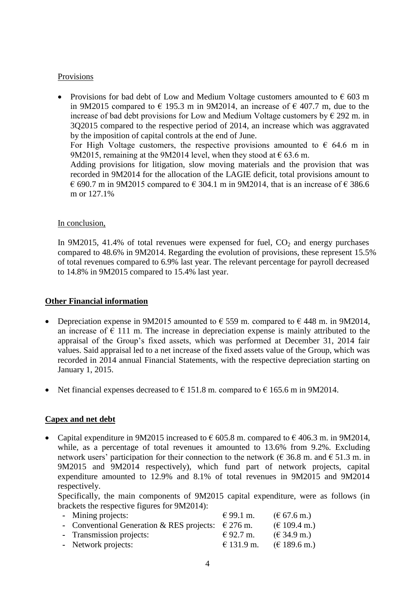### Provisions

• Provisions for bad debt of Low and Medium Voltage customers amounted to  $\epsilon$  603 m in 9M2015 compared to  $\epsilon$  195.3 m in 9M2014, an increase of  $\epsilon$  407.7 m, due to the increase of bad debt provisions for Low and Medium Voltage customers by  $\epsilon$  292 m. in 3Q2015 compared to the respective period of 2014, an increase which was aggravated by the imposition of capital controls at the end of June. For High Voltage customers, the respective provisions amounted to  $\epsilon$  64.6 m in 9M2015, remaining at the 9M2014 level, when they stood at  $\epsilon$  63.6 m. Adding provisions for litigation, slow moving materials and the provision that was recorded in 9M2014 for the allocation of the LAGIE deficit, total provisions amount to € 690.7 m in 9M2015 compared to  $\in$  304.1 m in 9M2014, that is an increase of  $\in$  386.6 m or 127.1%

#### In conclusion,

In 9M2015, 41.4% of total revenues were expensed for fuel,  $CO<sub>2</sub>$  and energy purchases compared to 48.6% in 9M2014. Regarding the evolution of provisions, these represent 15.5% of total revenues compared to 6.9% last year. The relevant percentage for payroll decreased to 14.8% in 9M2015 compared to 15.4% last year.

#### **Other Financial information**

- Depreciation expense in 9M2015 amounted to  $\epsilon$  559 m. compared to  $\epsilon$  448 m. in 9M2014, an increase of  $\epsilon$  111 m. The increase in depreciation expense is mainly attributed to the appraisal of the Group's fixed assets, which was performed at December 31, 2014 fair values. Said appraisal led to a net increase of the fixed assets value of the Group, which was recorded in 2014 annual Financial Statements, with the respective depreciation starting on January 1, 2015.
- Net financial expenses decreased to  $\epsilon$  151.8 m. compared to  $\epsilon$  165.6 m in 9M2014.

### **Capex and net debt**

• Capital expenditure in 9M2015 increased to  $\epsilon$  605.8 m. compared to  $\epsilon$  406.3 m. in 9M2014, while, as a percentage of total revenues it amounted to 13.6% from 9.2%. Excluding network users' participation for their connection to the network ( $\epsilon$  36.8 m. and  $\epsilon$  51.3 m. in 9M2015 and 9M2014 respectively), which fund part of network projects, capital expenditure amounted to 12.9% and 8.1% of total revenues in 9M2015 and 9M2014 respectively.

Specifically, the main components of 9M2015 capital expenditure, were as follows (in brackets the respective figures for 9M2014):

| - Mining projects:                                          | € 99.1 m.  | $(\text{\textsterling} 67.6 \text{ m.})$ |
|-------------------------------------------------------------|------------|------------------------------------------|
| - Conventional Generation & RES projects: $\epsilon$ 276 m. |            | $(\text{€ }109.4 \text{ m.})$            |
| - Transmission projects:                                    | € 92.7 m.  | $(\text{\textsterling} 34.9 \text{ m.})$ |
| - Network projects:                                         | € 131.9 m. | $(\text{€ } 189.6 \text{ m.})$           |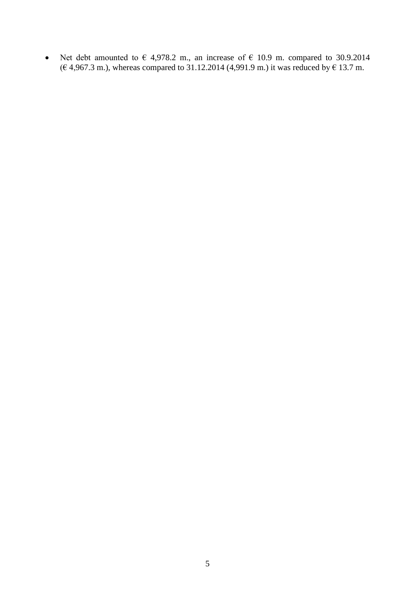Net debt amounted to  $\epsilon$  4,978.2 m., an increase of  $\epsilon$  10.9 m. compared to 30.9.2014  $(€ 4,967.3 \text{ m.})$ , whereas compared to 31.12.2014 (4,991.9 m.) it was reduced by  $€ 13.7 \text{ m.}$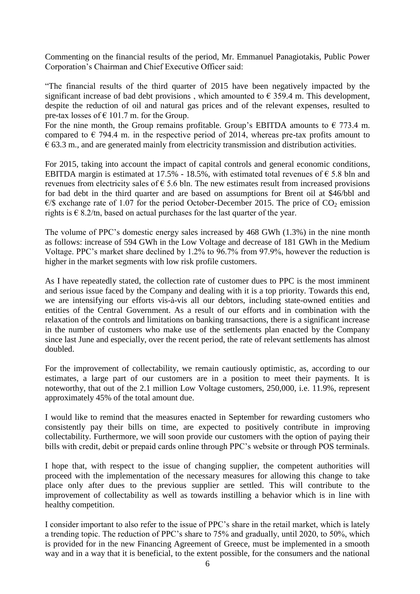Commenting on the financial results of the period, Mr. Emmanuel Panagiotakis, Public Power Corporation's Chairman and Chief Executive Officer said:

"The financial results of the third quarter of 2015 have been negatively impacted by the significant increase of bad debt provisions, which amounted to  $\epsilon$  359.4 m. This development, despite the reduction of oil and natural gas prices and of the relevant expenses, resulted to pre-tax losses of  $\epsilon$  101.7 m. for the Group.

For the nine month, the Group remains profitable. Group's EBITDA amounts to  $\epsilon$  773.4 m. compared to  $\epsilon$  794.4 m. in the respective period of 2014, whereas pre-tax profits amount to  $\epsilon$  63.3 m., and are generated mainly from electricity transmission and distribution activities.

For 2015, taking into account the impact of capital controls and general economic conditions, EBITDA margin is estimated at 17.5% - 18.5%, with estimated total revenues of  $\epsilon$  5.8 bln and revenues from electricity sales of  $\epsilon$  5.6 bln. The new estimates result from increased provisions for bad debt in the third quarter and are based on assumptions for Brent oil at \$46/bbl and  $\epsilon$ /\$ exchange rate of 1.07 for the period October-December 2015. The price of CO<sub>2</sub> emission rights is  $\epsilon$  8.2/tn, based on actual purchases for the last quarter of the year.

The volume of PPC's domestic energy sales increased by 468 GWh (1.3%) in the nine month as follows: increase of 594 GWh in the Low Voltage and decrease of 181 GWh in the Medium Voltage. PPC's market share declined by 1.2% to 96.7% from 97.9%, however the reduction is higher in the market segments with low risk profile customers.

As I have repeatedly stated, the collection rate of customer dues to PPC is the most imminent and serious issue faced by the Company and dealing with it is a top priority. Towards this end, we are intensifying our efforts vis-à-vis all our debtors, including state-owned entities and entities of the Central Government. As a result of our efforts and in combination with the relaxation of the controls and limitations on banking transactions, there is a significant increase in the number of customers who make use of the settlements plan enacted by the Company since last June and especially, over the recent period, the rate of relevant settlements has almost doubled.

For the improvement of collectability, we remain cautiously optimistic, as, according to our estimates, a large part of our customers are in a position to meet their payments. It is noteworthy, that out of the 2.1 million Low Voltage customers, 250,000, i.e. 11.9%, represent approximately 45% of the total amount due.

I would like to remind that the measures enacted in September for rewarding customers who consistently pay their bills on time, are expected to positively contribute in improving collectability. Furthermore, we will soon provide our customers with the option of paying their bills with credit, debit or prepaid cards online through PPC's website or through POS terminals.

I hope that, with respect to the issue of changing supplier, the competent authorities will proceed with the implementation of the necessary measures for allowing this change to take place only after dues to the previous supplier are settled. This will contribute to the improvement of collectability as well as towards instilling a behavior which is in line with healthy competition.

I consider important to also refer to the issue of PPC's share in the retail market, which is lately a trending topic. The reduction of PPC's share to 75% and gradually, until 2020, to 50%, which is provided for in the new Financing Agreement of Greece, must be implemented in a smooth way and in a way that it is beneficial, to the extent possible, for the consumers and the national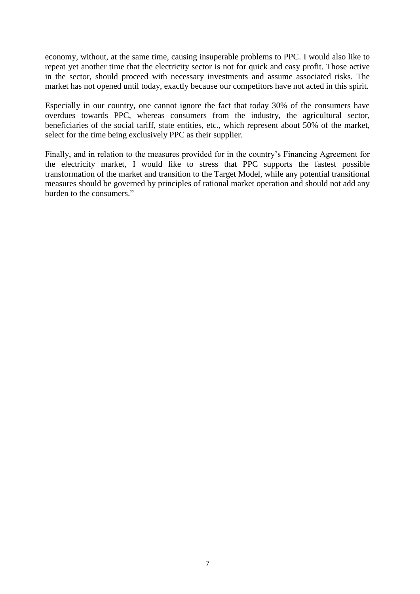economy, without, at the same time, causing insuperable problems to PPC. I would also like to repeat yet another time that the electricity sector is not for quick and easy profit. Those active in the sector, should proceed with necessary investments and assume associated risks. The market has not opened until today, exactly because our competitors have not acted in this spirit.

Especially in our country, one cannot ignore the fact that today 30% of the consumers have overdues towards PPC, whereas consumers from the industry, the agricultural sector, beneficiaries of the social tariff, state entities, etc., which represent about 50% of the market, select for the time being exclusively PPC as their supplier.

Finally, and in relation to the measures provided for in the country's Financing Agreement for the electricity market, I would like to stress that PPC supports the fastest possible transformation of the market and transition to the Target Model, while any potential transitional measures should be governed by principles of rational market operation and should not add any burden to the consumers."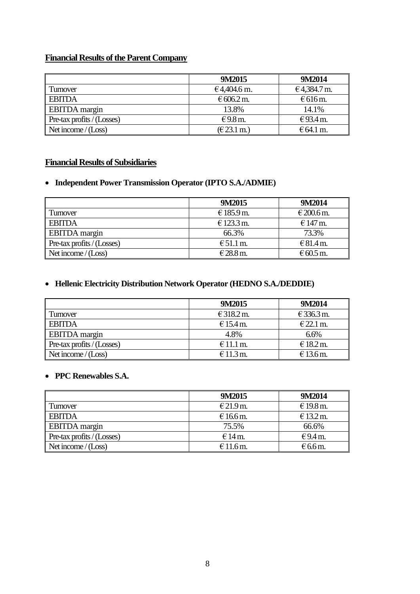# **Financial Results of the Parent Company**

|                                           | 9M2015      | 9M2014              |
|-------------------------------------------|-------------|---------------------|
| Turnover                                  | €4,404.6 m. | €4,384.7 m.         |
| <b>EBITDA</b>                             | € 606.2 m.  | $\epsilon$ 616 m.   |
| EBITDA margin                             | 13.8%       | 14.1%               |
| $\blacksquare$ Pre-tax profits / (Losses) | €9.8 m.     | €93.4 m.            |
| Net income $/(Loss)$                      | (E23.1 m.)  | $E64.1 \text{ m}$ . |

## **Financial Results of Subsidiaries**

## **Independent Power Transmission Operator (IPTO S.A./ADMIE)**

|                            | 9M2015             | 9M2014     |
|----------------------------|--------------------|------------|
| Turnover                   | € 185.9 m.         | € 200.6 m. |
| <b>EBITDA</b>              | € 123.3 m.         | $€147$ m.  |
| <b>EBITDA</b> margin       | 66.3%              | 73.3%      |
| Pre-tax profits / (Losses) | $\epsilon$ 51.1 m. | € 81.4 m.  |
| Net income $/(Loss)$       | €28.8 m.           | € 60.5 m.  |

# **Hellenic Electricity Distribution Network Operator (HEDNO S.A./DEDDIE)**

|                            | 9M2015      | 9M2014      |
|----------------------------|-------------|-------------|
| Turnover                   | € 318.2 m.  | € 336.3 m.  |
| <b>EBITDA</b>              | € 15.4 m.   | $E$ 22.1 m. |
| <b>EBITDA</b> margin       | 4.8%        | 6.6%        |
| Pre-tax profits / (Losses) | $E$ 11.1 m. | $E$ 18.2 m. |
| Net income $/(Loss)$       | $€11.3$ m.  | € 13.6 m.   |

# **PPC Renewables S.A.**

|                            | 9M2015    | 9M2014            |
|----------------------------|-----------|-------------------|
| Turnover                   | € 21.9 m. | € 19.8 m.         |
| <b>EBITDA</b>              | € 16.6 m. | € 13.2 m.         |
| <b>EBITDA</b> margin       | 75.5%     | 66.6%             |
| Pre-tax profits / (Losses) | $€14$ m.  | $\epsilon$ 9.4 m. |
| Net income $/(Loss)$       | € 11.6 m. | $\epsilon$ 6.6 m. |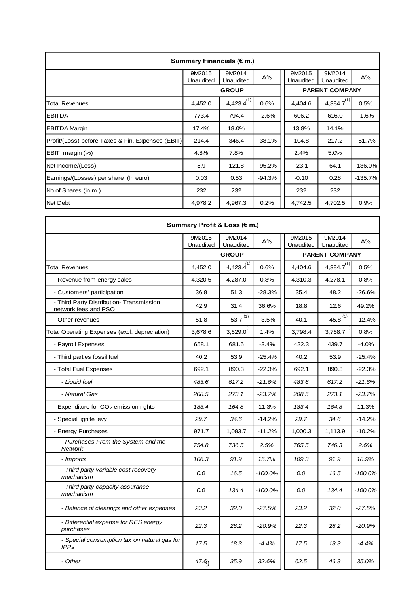| Summary Financials ( $\epsilon$ m.)               |                     |                     |          |                       |                     |            |  |
|---------------------------------------------------|---------------------|---------------------|----------|-----------------------|---------------------|------------|--|
|                                                   | 9M2015<br>Unaudited | 9M2014<br>Unaudited | Δ%       | 9M2015<br>Unaudited   | 9M2014<br>Unaudited | Δ%         |  |
|                                                   |                     | <b>GROUP</b>        |          | <b>PARENT COMPANY</b> |                     |            |  |
| <b>Total Revenues</b>                             | 4,452.0             | 4,423.4(1)          | 0.6%     | 4,404.6               | $4,384.7^{(1)}$     | 0.5%       |  |
| <b>EBITDA</b>                                     | 773.4               | 794.4               | $-2.6%$  | 606.2                 | 616.0               | $-1.6%$    |  |
| <b>EBITDA Margin</b>                              | 17.4%               | 18.0%               |          | 13.8%                 | 14.1%               |            |  |
| Profit/(Loss) before Taxes & Fin. Expenses (EBIT) | 214.4               | 346.4               | $-38.1%$ | 104.8                 | 217.2               | $-51.7%$   |  |
| EBIT margin (%)                                   | 4.8%                | 7.8%                |          | 2.4%                  | 5.0%                |            |  |
| Net Income/(Loss)                                 | 5.9                 | 121.8               | $-95.2%$ | $-23.1$               | 64.1                | $-136.0\%$ |  |
| Earnings/(Losses) per share (In euro)             | 0.03                | 0.53                | -94.3%   | $-0.10$               | 0.28                | -135.7%    |  |
| No of Shares (in m.)                              | 232                 | 232                 |          | 232                   | 232                 |            |  |
| Net Debt                                          | 4,978.2             | 4,967.3             | 0.2%     | 4,742.5               | 4,702.5             | 0.9%       |  |

| Summary Profit & Loss (€ m.)                                     |                     |                            |            |                     |                       |            |  |
|------------------------------------------------------------------|---------------------|----------------------------|------------|---------------------|-----------------------|------------|--|
|                                                                  | 9M2015<br>Unaudited | 9M2014<br>Unaudited        | Δ%         | 9M2015<br>Unaudited | 9M2014<br>Unaudited   | Δ%         |  |
|                                                                  |                     | <b>GROUP</b>               |            |                     | <b>PARENT COMPANY</b> |            |  |
| <b>Total Revenues</b>                                            | 4,452.0             | $4,423.\overline{4}^{(1)}$ | 0.6%       | 4,404.6             | $4,384.7^{(1)}$       | 0.5%       |  |
| - Revenue from energy sales                                      | 4,320.5             | 4,287.0                    | $0.8\%$    | 4,310.3             | 4,278.1               | 0.8%       |  |
| - Customers' participation                                       | 36.8                | 51.3                       | $-28.3%$   | 35.4                | 48.2                  | $-26.6%$   |  |
| - Third Party Distribution- Transmission<br>network fees and PSO | 42.9                | 31.4                       | 36.6%      | 18.8                | 12.6                  | 49.2%      |  |
| - Other revenues                                                 | 51.8                | 53.7 $^{(1)}$              | $-3.5%$    | 40.1                | $45.8^{(1)}$          | $-12.4%$   |  |
| Total Operating Expenses (excl. depreciation)                    | 3.678.6             | $3,629.0^{(1)}$            | 1.4%       | 3,798.4             | $3,768.7^{(1)}$       | 0.8%       |  |
| - Payroll Expenses                                               | 658.1               | 681.5                      | $-3.4%$    | 422.3               | 439.7                 | $-4.0%$    |  |
| - Third parties fossil fuel                                      | 40.2                | 53.9                       | $-25.4%$   | 40.2                | 53.9                  | $-25.4%$   |  |
| - Total Fuel Expenses                                            | 692.1               | 890.3                      | $-22.3%$   | 692.1               | 890.3                 | $-22.3%$   |  |
| - Liquid fuel                                                    | 483.6               | 617.2                      | $-21.6%$   | 483.6               | 617.2                 | $-21.6%$   |  |
| - Natural Gas                                                    | 208.5               | 273.1                      | $-23.7%$   | 208.5               | 273.1                 | $-23.7%$   |  |
| - Expenditure for $CO2$ emission rights                          | 183.4               | 164.8                      | 11.3%      | 183.4               | 164.8                 | 11.3%      |  |
| - Special lignite levy                                           | 29.7                | 34.6                       | $-14.2%$   | 29.7                | 34.6                  | $-14.2%$   |  |
| - Energy Purchases                                               | 971.7               | 1,093.7                    | $-11.2%$   | 1,000.3             | 1,113.9               | $-10.2%$   |  |
| - Purchases From the System and the<br>Network                   | 754.8               | 736.5                      | 2.5%       | 765.5               | 746.3                 | 2.6%       |  |
| - Imports                                                        | 106.3               | 91.9                       | 15.7%      | 109.3               | 91.9                  | 18.9%      |  |
| - Third party variable cost recovery<br>mechanism                | 0.0                 | 16.5                       | $-100.0\%$ | 0.0                 | 16.5                  | $-100.0\%$ |  |
| - Third party capacity assurance<br>mechanism                    | 0.0                 | 134.4                      | $-100.0\%$ | 0.0                 | 134.4                 | $-100.0\%$ |  |
| - Balance of clearings and other expenses                        | 23.2                | 32.0                       | $-27.5%$   | 23.2                | 32.0                  | $-27.5%$   |  |
| - Differential expense for RES energy<br>purchases               | 22.3                | 28.2                       | $-20.9%$   | 22.3                | 28.2                  | $-20.9%$   |  |
| - Special consumption tax on natural gas for<br><b>IPPs</b>      | 17.5                | 18.3                       | $-4.4%$    | 17.5                | 18.3                  | $-4.4%$    |  |
| - Other                                                          | 47.6                | 35.9                       | 32.6%      | 62.5                | 46.3                  | 35.0%      |  |